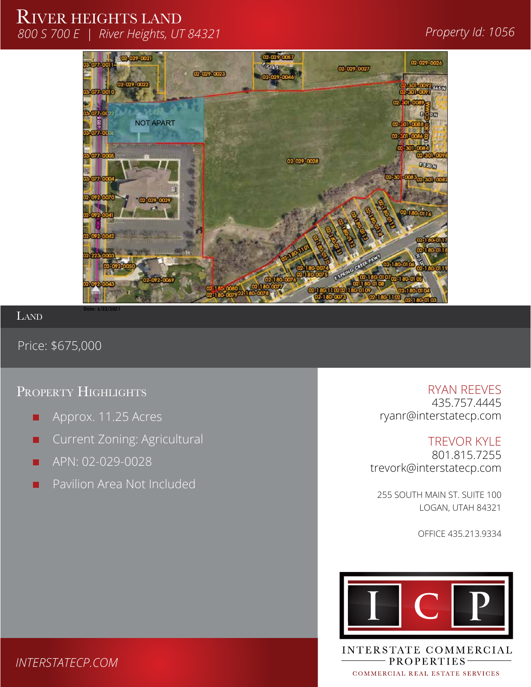# RIVER HEIGHTS LAND *800 S 700 E | River Heights, UT 84321 Property Id: 1056*

# SS**100 SOUTH STREET**



LAND

Price: \$675,000

# PROPERTY HIGHLIGHTS **RYAN REEVES**

- Approx. 11.25 Acres П
- Current Zoning: Agricultural П
- APN: 02-029-0028
- Pavilion Area Not Included

435.757.4445 ryanr@interstatecp.com 1

SS01

1

TREVOR KYLE 801.815.7255 trevork@interstatecp.com  $\begin{bmatrix}\n-7. & \uparrow \\
\downarrow \downarrow\n\end{bmatrix}$  Macey's Macey's Macey's Macey's Macegover P:\2020\20-237 Macey's MXD\AutoCAD\Survey\Preliminary Plat\20-237 Macey's MXD Pre-plat v2

255 SOUTH MAIN ST. SUITE 100 LOGAN, UTAH 84321

OFFICE 435.213.9334



INTERSTATE COMMERCIAL - PROPERTIES-COMMERCIAL REAL ESTATE SERVICES

## *INTERSTATECP.COM*